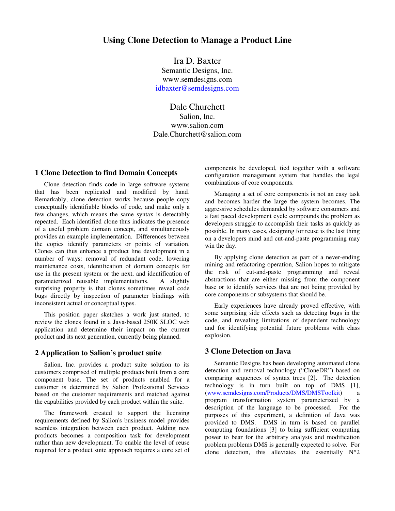# **Using Clone Detection to Manage a Product Line**

Ira D. Baxter Semantic Designs, Inc. www.semdesigns.com idbaxter@semdesigns.com

Dale Churchett Salion, Inc. www.salion.com Dale.Churchett@salion.com

#### **1 Clone Detection to find Domain Concepts**

Clone detection finds code in large software systems that has been replicated and modified by hand. Remarkably, clone detection works because people copy conceptually identifiable blocks of code, and make only a few changes, which means the same syntax is detectably repeated. Each identified clone thus indicates the presence of a useful problem domain concept, and simultaneously provides an example implementation. Differences between the copies identify parameters or points of variation. Clones can thus enhance a product line development in a number of ways: removal of redundant code, lowering maintenance costs, identification of domain concepts for use in the present system or the next, and identification of parameterized reusable implementations. A slightly surprising property is that clones sometimes reveal code bugs directly by inspection of parameter bindings with inconsistent actual or conceptual types.

This position paper sketches a work just started, to review the clones found in a Java-based 250K SLOC web application and determine their impact on the current product and its next generation, currently being planned.

### **2 Application to Salion's product suite**

Salion, Inc. provides a product suite solution to its customers comprised of multiple products built from a core component base. The set of products enabled for a customer is determined by Salion Professional Services based on the customer requirements and matched against the capabilities provided by each product within the suite.

The framework created to support the licensing requirements defined by Salion's business model provides seamless integration between each product. Adding new products becomes a composition task for development rather than new development. To enable the level of reuse required for a product suite approach requires a core set of components be developed, tied together with a software configuration management system that handles the legal combinations of core components.

Managing a set of core components is not an easy task and becomes harder the large the system becomes. The aggressive schedules demanded by software consumers and a fast paced development cycle compounds the problem as developers struggle to accomplish their tasks as quickly as possible. In many cases, designing for reuse is the last thing on a developers mind and cut-and-paste programming may win the day.

By applying clone detection as part of a never-ending mining and refactoring operation, Salion hopes to mitigate the risk of cut-and-paste programming and reveal abstractions that are either missing from the component base or to identify services that are not being provided by core components or subsystems that should be.

Early experiences have already proved effective, with some surprising side effects such as detecting bugs in the code, and revealing limitations of dependent technology and for identifying potential future problems with class explosion.

## **3 Clone Detection on Java**

Semantic Designs has been developing automated clone detection and removal technology ("CloneDR") based on comparing sequences of syntax trees [2]. The detection technology is in turn built on top of DMS [1], (www.semdesigns.com/Products/DMS/DMSToolkit) a program transformation system parameterized by a description of the language to be processed. For the purposes of this experiment, a definition of Java was provided to DMS. DMS in turn is based on parallel computing foundations [3] to bring sufficient computing power to bear for the arbitrary analysis and modification problem problems DMS is generally expected to solve. For clone detection, this alleviates the essentially  $N^2$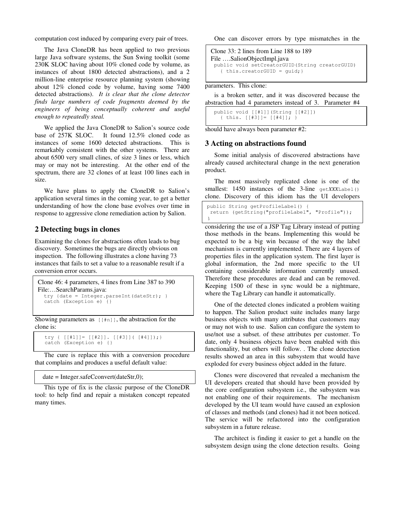computation cost induced by comparing every pair of trees.

The Java CloneDR has been applied to two previous large Java software systems, the Sun Swing toolkit (some 230K SLOC having about 10% cloned code by volume, as instances of about 1800 detected abstractions), and a 2 million-line enterprise resource planning system (showing about 12% cloned code by volume, having some 7400 detected abstractions). *It is clear that the clone detector finds large numbers of code fragments deemed by the engineers of being conceptually coherent and useful enough to repeatedly steal.*

We applied the Java CloneDR to Salion's source code base of 257K SLOC. It found 12.5% cloned code as instances of some 1600 detected abstractions. This is remarkably consistent with the other systems. There are about 6500 very small clines, of size 3 lines or less, which may or may not be interesting. At the other end of the spectrum, there are 32 clones of at least 100 lines each in size.

We have plans to apply the CloneDR to Salion's application several times in the coming year, to get a better understanding of how the clone base evolves over time in response to aggressive clone remediation action by Salion.

# **2 Detecting bugs in clones**

Examining the clones for abstractions often leads to bug discovery. Sometimes the bugs are directly obvious on inspection. The following illustrates a clone having 73 instances that fails to set a value to a reasonable result if a conversion error occurs.

```
Clone 46: 4 parameters, 4 lines from Line 387 to 390 
File:…SearchParams.java: 
  try {date = Integer.parseInt(dateStr); }
   catch (Exception e) {}
```
Showing parameters as  $[[\nexists n]]$ , the abstraction for the clone is:

```
 try { [[#1]]= [[#2]]. [[#3]]( [#4]]);} 
 catch (Exception e) {}
```
The cure is replace this with a conversion procedure that complains and produces a useful default value:

date = Integer.safeCconvert(dateStr,0);

This type of fix is the classic purpose of the CloneDR tool: to help find and repair a mistaken concept repeated many times.

One can discover errors by type mismatches in the

```
Clone 33: 2 lines from Line 188 to 189 
File ….SalionObjectImpl.java 
  public void setCreatorGUID(String creatorGUID) 
    { this.creatorGUID = guid;}
```
parameters. This clone:

is a broken setter, and it was discovered because the abstraction had 4 parameters instead of 3. Parameter #4

```
 public void [[#1]](String [[#2]]) 
   { this. [[#3]]= [[#4]]; }
```
should have always been parameter #2:

#### **3 Acting on abstractions found**

Some initial analysis of discovered abstractions have already caused architectural change in the next generation product.

The most massively replicated clone is one of the smallest: 1450 instances of the 3-line get*XXX*Label() clone. Discovery of this idiom has the UI developers

```
public String getProfileLabel() { 
  return (getString("profileLabel", "Profile")); 
\mathfrak{g}
```
considering the use of a JSP Tag Library instead of putting those methods in the beans. Implementing this would be expected to be a big win because of the way the label mechanism is currently implemented. There are 4 layers of properties files in the application system. The first layer is global information, the 2nd more specific to the UI containing considerable information currently unused. Therefore these procedures are dead and can be removed. Keeping 1500 of these in sync would be a nightmare, where the Tag Library can handle it automatically.

One of the detected clones indicated a problem waiting to happen. The Salion product suite includes many large business objects with many attributes that customers may or may not wish to use. Salion can configure the system to use/not use a subset. of these attributes per customer. To date, only 4 business objects have been enabled with this functionality, but others will follow. . The clone detection results showed an area in this subsystem that would have exploded for every business object added in the future.

Clones were discovered that revealed a mechanism the UI developers created that should have been provided by the core configuration subsystem i.e., the subsystem was not enabling one of their requirements. The mechanism developed by the UI team would have caused an explosion of classes and methods (and clones) had it not been noticed. The service will be refactored into the configuration subsystem in a future release.

The architect is finding it easier to get a handle on the subsystem design using the clone detection results. Going